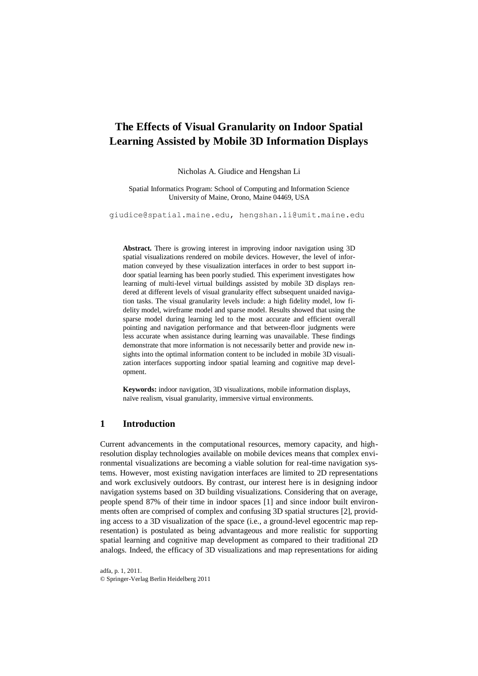# **The Effects of Visual Granularity on Indoor Spatial Learning Assisted by Mobile 3D Information Displays**

Nicholas A. Giudice and Hengshan Li

Spatial Informatics Program: School of Computing and Information Science University of Maine, Orono, Maine 04469, USA

giudice@spatial.maine.edu, [hengshan.li@umit.maine.edu](mailto:hengshan.li@umit.maine.edu)

**Abstract.** There is growing interest in improving indoor navigation using 3D spatial visualizations rendered on mobile devices. However, the level of information conveyed by these visualization interfaces in order to best support indoor spatial learning has been poorly studied. This experiment investigates how learning of multi-level virtual buildings assisted by mobile 3D displays rendered at different levels of visual granularity effect subsequent unaided navigation tasks. The visual granularity levels include: a high fidelity model, low fidelity model, wireframe model and sparse model. Results showed that using the sparse model during learning led to the most accurate and efficient overall pointing and navigation performance and that between-floor judgments were less accurate when assistance during learning was unavailable. These findings demonstrate that more information is not necessarily better and provide new insights into the optimal information content to be included in mobile 3D visualization interfaces supporting indoor spatial learning and cognitive map development.

**Keywords:** indoor navigation, 3D visualizations, mobile information displays, na ïve realism, visual granularity, immersive virtual environments.

## **1 Introduction**

Current advancements in the computational resources, memory capacity, and highresolution display technologies available on mobile devices means that complex environmental visualizations are becoming a viable solution for real-time navigation systems. However, most existing navigation interfaces are limited to 2D representations and work exclusively outdoors. By contrast, our interest here is in designing indoor navigation systems based on 3D building visualizations. Considering that on average, people spend 87% of their time in indoor spaces [1] and since indoor built environments often are comprised of complex and confusing 3D spatial structures [2], providing access to a 3D visualization of the space (i.e., a ground-level egocentric map representation) is postulated as being advantageous and more realistic for supporting spatial learning and cognitive map development as compared to their traditional 2D analogs. Indeed, the efficacy of 3D visualizations and map representations for aiding

adfa, p. 1, 2011. © Springer-Verlag Berlin Heidelberg 2011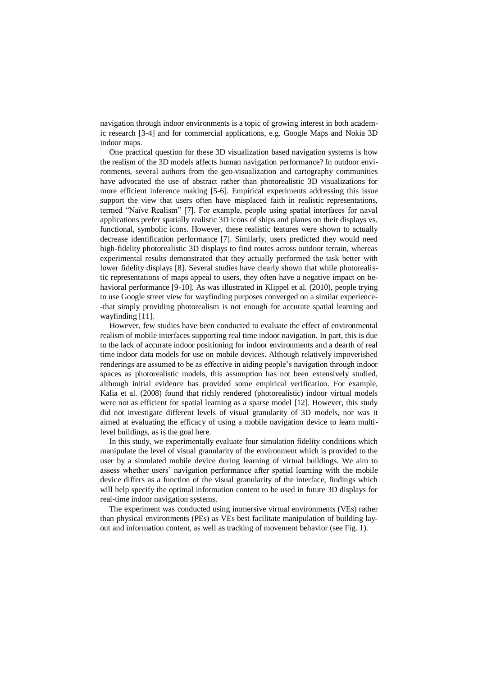navigation through indoor environments is a topic of growing interest in both academic research [3-4] and for commercial applications, e.g. Google Maps and Nokia 3D indoor maps.

One practical question for these 3D visualization based navigation systems is how the realism of the 3D models affects human navigation performance? In outdoor environments, several authors from the geo-visualization and cartography communities have advocated the use of abstract rather than photorealistic 3D visualizations for more efficient inference making [5-6]. Empirical experiments addressing this issue support the view that users often have misplaced faith in realistic representations, termed "Naïve Realism" [7]. For example, people using spatial interfaces for naval applications prefer spatially realistic 3D icons of ships and planes on their displays vs. functional, symbolic icons. However, these realistic features were shown to actually decrease identification performance [7]. Similarly, users predicted they would need high-fidelity photorealistic 3D displays to find routes across outdoor terrain, whereas experimental results demonstrated that they actually performed the task better with lower fidelity displays [8]. Several studies have clearly shown that while photorealistic representations of maps appeal to users, they often have a negative impact on behavioral performance [9-10]. As was illustrated in Klippel et al. (2010), people trying to use Google street view for wayfinding purposes converged on a similar experience- -that simply providing photorealism is not enough for accurate spatial learning and wayfinding [11].

However, few studies have been conducted to evaluate the effect of environmental realism of mobile interfaces supporting real time indoor navigation. In part, this is due to the lack of accurate indoor positioning for indoor environments and a dearth of real time indoor data models for use on mobile devices. Although relatively impoverished renderings are assumed to be as effective in aiding people's navigation through indoor spaces as photorealistic models, this assumption has not been extensively studied, although initial evidence has provided some empirical verification. For example, Kalia et al. (2008) found that richly rendered (photorealistic) indoor virtual models were not as efficient for spatial learning as a sparse model [12]. However, this study did not investigate different levels of visual granularity of 3D models, nor was it aimed at evaluating the efficacy of using a mobile navigation device to learn multilevel buildings, as is the goal here.

In this study, we experimentally evaluate four simulation fidelity conditions which manipulate the level of visual granularity of the environment which is provided to the user by a simulated mobile device during learning of virtual buildings. We aim to assess whether users' navigation performance after spatial learning with the mobile device differs as a function of the visual granularity of the interface, findings which will help specify the optimal information content to be used in future 3D displays for real-time indoor navigation systems.

The experiment was conducted using immersive virtual environments (VEs) rather than physical environments (PEs) as VEs best facilitate manipulation of building layout and information content, as well as tracking of movement behavior (see Fig. 1).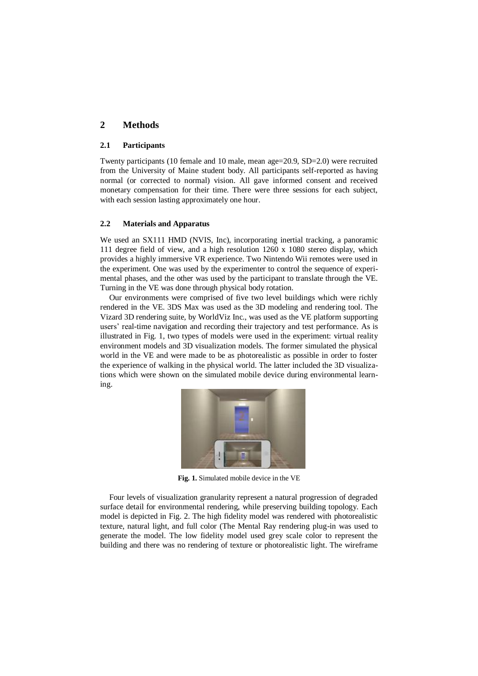## **2 Methods**

### **2.1 Participants**

Twenty participants (10 female and 10 male, mean age=20.9, SD=2.0) were recruited from the University of Maine student body. All participants self-reported as having normal (or corrected to normal) vision. All gave informed consent and received monetary compensation for their time. There were three sessions for each subject, with each session lasting approximately one hour.

### **2.2 Materials and Apparatus**

We used an SX111 HMD (NVIS, Inc), incorporating inertial tracking, a panoramic 111 degree field of view, and a high resolution 1260 x 1080 stereo display, which provides a highly immersive VR experience. Two Nintendo Wii remotes were used in the experiment. One was used by the experimenter to control the sequence of experimental phases, and the other was used by the participant to translate through the VE. Turning in the VE was done through physical body rotation.

Our environments were comprised of five two level buildings which were richly rendered in the VE. 3DS Max was used as the 3D modeling and rendering tool. The Vizard 3D rendering suite, by WorldViz Inc., was used as the VE platform supporting users' real-time navigation and recording their trajectory and test performance. As is illustrated in Fig. 1, two types of models were used in the experiment: virtual reality environment models and 3D visualization models. The former simulated the physical world in the VE and were made to be as photorealistic as possible in order to foster the experience of walking in the physical world. The latter included the 3D visualizations which were shown on the simulated mobile device during environmental learning.



**Fig. 1.** Simulated mobile device in the VE

Four levels of visualization granularity represent a natural progression of degraded surface detail for environmental rendering, while preserving building topology. Each model is depicted in Fig. 2. The high fidelity model was rendered with photorealistic texture, natural light, and full color (The Mental Ray rendering plug-in was used to generate the model. The low fidelity model used grey scale color to represent the building and there was no rendering of texture or photorealistic light. The wireframe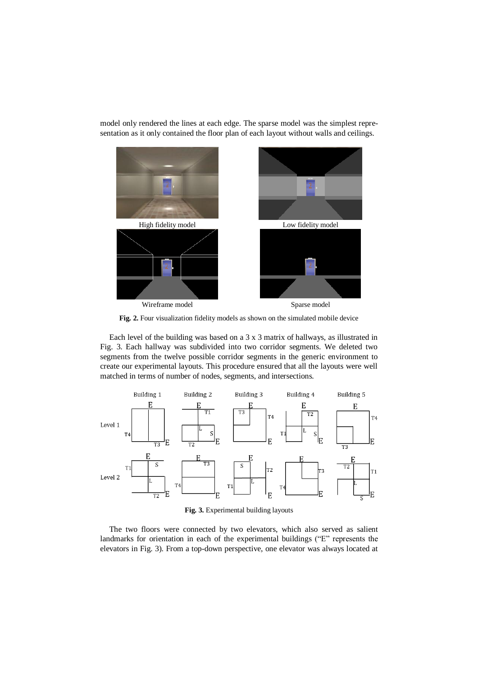model only rendered the lines at each edge. The sparse model was the simplest representation as it only contained the floor plan of each layout without walls and ceilings.



**Fig. 2.** Four visualization fidelity models as shown on the simulated mobile device

Each level of the building was based on a 3 x 3 matrix of hallways, as illustrated in Fig. 3. Each hallway was subdivided into two corridor segments. We deleted two segments from the twelve possible corridor segments in the generic environment to create our experimental layouts. This procedure ensured that all the layouts were well matched in terms of number of nodes, segments, and intersections.



**Fig. 3.** Experimental building layouts

The two floors were connected by two elevators, which also served as salient landmarks for orientation in each of the experimental buildings ("E" represents the elevators in Fig. 3). From a top-down perspective, one elevator was always located at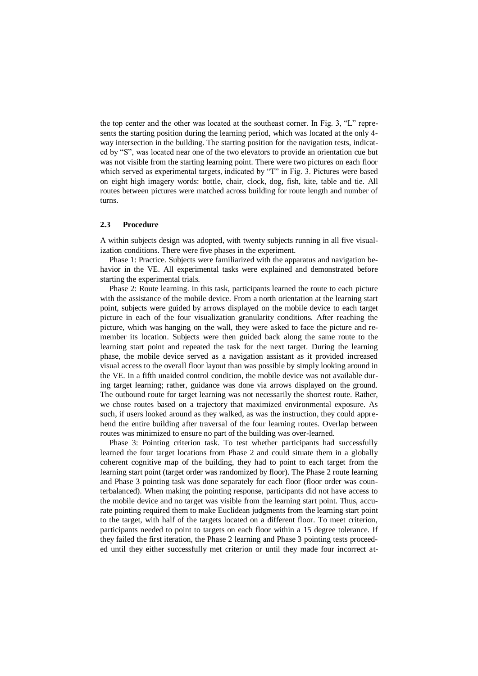the top center and the other was located at the southeast corner. In Fig. 3, "L" represents the starting position during the learning period, which was located at the only 4 way intersection in the building. The starting position for the navigation tests, indicated by "S", was located near one of the two elevators to provide an orientation cue but was not visible from the starting learning point. There were two pictures on each floor which served as experimental targets, indicated by "T" in Fig. 3. Pictures were based on eight high imagery words: bottle, chair, clock, dog, fish, kite, table and tie. All routes between pictures were matched across building for route length and number of turns.

#### **2.3 Procedure**

A within subjects design was adopted, with twenty subjects running in all five visualization conditions. There were five phases in the experiment.

Phase 1: Practice. Subjects were familiarized with the apparatus and navigation behavior in the VE. All experimental tasks were explained and demonstrated before starting the experimental trials.

Phase 2: Route learning. In this task, participants learned the route to each picture with the assistance of the mobile device. From a north orientation at the learning start point, subjects were guided by arrows displayed on the mobile device to each target picture in each of the four visualization granularity conditions. After reaching the picture, which was hanging on the wall, they were asked to face the picture and remember its location. Subjects were then guided back along the same route to the learning start point and repeated the task for the next target. During the learning phase, the mobile device served as a navigation assistant as it provided increased visual access to the overall floor layout than was possible by simply looking around in the VE. In a fifth unaided control condition, the mobile device was not available during target learning; rather, guidance was done via arrows displayed on the ground. The outbound route for target learning was not necessarily the shortest route. Rather, we chose routes based on a trajectory that maximized environmental exposure. As such, if users looked around as they walked, as was the instruction, they could apprehend the entire building after traversal of the four learning routes. Overlap between routes was minimized to ensure no part of the building was over-learned.

Phase 3: Pointing criterion task. To test whether participants had successfully learned the four target locations from Phase 2 and could situate them in a globally coherent cognitive map of the building, they had to point to each target from the learning start point (target order was randomized by floor). The Phase 2 route learning and Phase 3 pointing task was done separately for each floor (floor order was counterbalanced). When making the pointing response, participants did not have access to the mobile device and no target was visible from the learning start point. Thus, accurate pointing required them to make Euclidean judgments from the learning start point to the target, with half of the targets located on a different floor. To meet criterion, participants needed to point to targets on each floor within a 15 degree tolerance. If they failed the first iteration, the Phase 2 learning and Phase 3 pointing tests proceeded until they either successfully met criterion or until they made four incorrect at-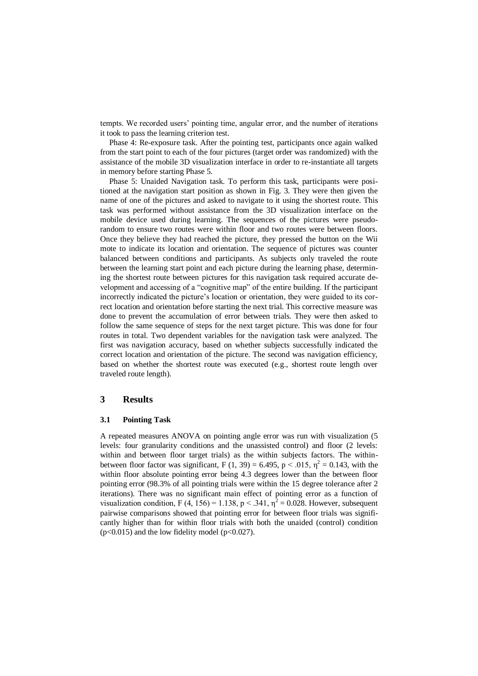tempts. We recorded users' pointing time, angular error, and the number of iterations it took to pass the learning criterion test.

Phase 4: Re-exposure task. After the pointing test, participants once again walked from the start point to each of the four pictures (target order was randomized) with the assistance of the mobile 3D visualization interface in order to re-instantiate all targets in memory before starting Phase 5.

Phase 5: Unaided Navigation task. To perform this task, participants were positioned at the navigation start position as shown in Fig. 3. They were then given the name of one of the pictures and asked to navigate to it using the shortest route. This task was performed without assistance from the 3D visualization interface on the mobile device used during learning. The sequences of the pictures were pseudorandom to ensure two routes were within floor and two routes were between floors. Once they believe they had reached the picture, they pressed the button on the Wii mote to indicate its location and orientation. The sequence of pictures was counter balanced between conditions and participants. As subjects only traveled the route between the learning start point and each picture during the learning phase, determining the shortest route between pictures for this navigation task required accurate development and accessing of a "cognitive map" of the entire building. If the participant incorrectly indicated the picture's location or orientation, they were guided to its correct location and orientation before starting the next trial. This corrective measure was done to prevent the accumulation of error between trials. They were then asked to follow the same sequence of steps for the next target picture. This was done for four routes in total. Two dependent variables for the navigation task were analyzed. The first was navigation accuracy, based on whether subjects successfully indicated the correct location and orientation of the picture. The second was navigation efficiency, based on whether the shortest route was executed (e.g., shortest route length over traveled route length).

### **3 Results**

### **3.1 Pointing Task**

A repeated measures ANOVA on pointing angle error was run with visualization (5 levels: four granularity conditions and the unassisted control) and floor (2 levels: within and between floor target trials) as the within subjects factors. The withinbetween floor factor was significant, F (1, 39) = 6.495, p < .015,  $\eta^2 = 0.143$ , with the within floor absolute pointing error being 4.3 degrees lower than the between floor pointing error (98.3% of all pointing trials were within the 15 degree tolerance after 2 iterations). There was no significant main effect of pointing error as a function of visualization condition, F (4, 156) = 1.138, p < .341,  $\eta^2$  = 0.028. However, subsequent pairwise comparisons showed that pointing error for between floor trials was significantly higher than for within floor trials with both the unaided (control) condition  $(p<0.015)$  and the low fidelity model  $(p<0.027)$ .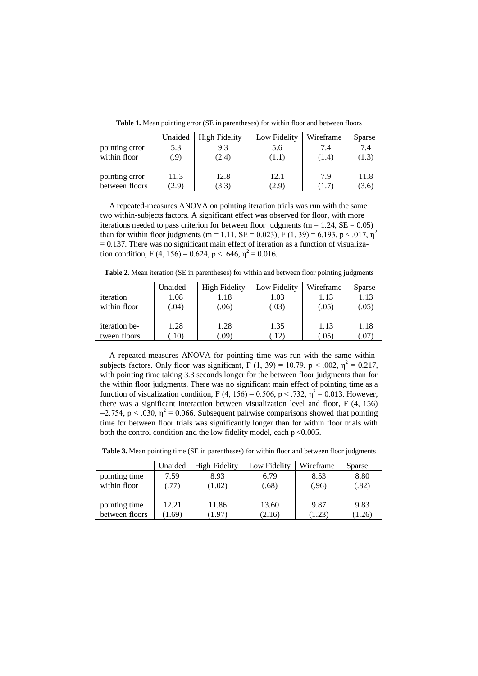**Table 1.** Mean pointing error (SE in parentheses) for within floor and between floors

|                | Unaided | <b>High Fidelity</b> | Low Fidelity | Wireframe | Sparse |
|----------------|---------|----------------------|--------------|-----------|--------|
| pointing error | 5.3     | 9.3                  | 5.6          | 7.4       | 7.4    |
| within floor   | (.9)    | (2.4)                | (1.1)        | (1.4)     | (1.3)  |
|                |         |                      |              |           |        |
| pointing error | 11.3    | 12.8                 | 12.1         | 7.9       | 11.8   |
| between floors | (2.9)   | (3.3)                | (2.9)        | 1.7       | (3.6)  |

A repeated-measures ANOVA on pointing iteration trials was run with the same two within-subjects factors. A significant effect was observed for floor, with more iterations needed to pass criterion for between floor judgments ( $m = 1.24$ ,  $SE = 0.05$ ) than for within floor judgments (m = 1.11, SE = 0.023), F (1, 39) = 6.193, p < .017,  $\eta^2$  $= 0.137$ . There was no significant main effect of iteration as a function of visualization condition, F (4, 156) = 0.624, p < .646,  $\eta^2$  = 0.016.

**Table 2.** Mean iteration (SE in parentheses) for within and between floor pointing judgments

|               | Unaided | <b>High Fidelity</b> | Low Fidelity  | Wireframe | Sparse      |
|---------------|---------|----------------------|---------------|-----------|-------------|
| iteration     | 1.08    | 1.18                 | 1.03          | 1.13      | 1.13        |
| within floor  | (.04)   | (.06)                | (.03)         | (.05)     | (.05)       |
|               |         |                      |               |           |             |
| iteration be- | 1.28    | 1.28                 | 1.35          | 1.13      | 1.18        |
| tween floors  | .10)    | .09)                 | $.12^{\circ}$ | (.05)     | $\cdot .07$ |

A repeated-measures ANOVA for pointing time was run with the same withinsubjects factors. Only floor was significant,  $F(1, 39) = 10.79$ ,  $p < .002$ ,  $\eta^2 = 0.217$ , with pointing time taking 3.3 seconds longer for the between floor judgments than for the within floor judgments. There was no significant main effect of pointing time as a function of visualization condition, F (4, 156) = 0.506, p < .732,  $\eta^2$  = 0.013. However, there was a significant interaction between visualization level and floor, F (4, 156) =2.754,  $p < .030$ ,  $\eta^2 = 0.066$ . Subsequent pairwise comparisons showed that pointing time for between floor trials was significantly longer than for within floor trials with both the control condition and the low fidelity model, each  $p < 0.005$ .

| Table 3. Mean pointing time (SE in parentheses) for within floor and between floor judgments |  |  |  |
|----------------------------------------------------------------------------------------------|--|--|--|
|----------------------------------------------------------------------------------------------|--|--|--|

|                | Unaided       | <b>High Fidelity</b> | Low Fidelity | Wireframe | Sparse |
|----------------|---------------|----------------------|--------------|-----------|--------|
| pointing time  | 7.59          | 8.93                 | 6.79         | 8.53      | 8.80   |
| within floor   | (77)          | (1.02)               | (.68)        | (.96)     | (.82)  |
| pointing time  | 12.21         | 11.86                | 13.60        | 9.87      | 9.83   |
| between floors | $.69^{\circ}$ | 1.97                 | (2.16)       | 1.23      | 1.26   |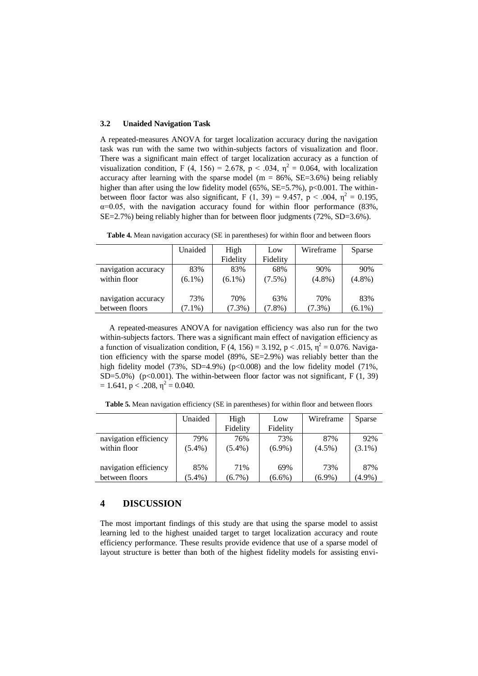#### **3.2 Unaided Navigation Task**

A repeated-measures ANOVA for target localization accuracy during the navigation task was run with the same two within-subjects factors of visualization and floor. There was a significant main effect of target localization accuracy as a function of visualization condition, F (4, 156) = 2.678, p < .034,  $\eta^2$  = 0.064, with localization accuracy after learning with the sparse model ( $m = 86\%$ , SE=3.6%) being reliably higher than after using the low fidelity model (65%, SE=5.7%), p<0.001. The withinbetween floor factor was also significant, F  $(1, 39) = 9.457$ , p < .004,  $\eta^2 = 0.195$ ,  $\alpha$ =0.05, with the navigation accuracy found for within floor performance (83%, SE=2.7%) being reliably higher than for between floor judgments (72%, SD=3.6%).

**Table 4.** Mean navigation accuracy (SE in parentheses) for within floor and between floors

|                     | Unaided   | High      | Low       | Wireframe | Sparse    |
|---------------------|-----------|-----------|-----------|-----------|-----------|
|                     |           | Fidelity  | Fidelity  |           |           |
| navigation accuracy | 83%       | 83%       | 68%       | 90%       | 90%       |
| within floor        | $(6.1\%)$ | $(6.1\%)$ | $(7.5\%)$ | $(4.8\%)$ | $(4.8\%)$ |
|                     |           |           |           |           |           |
| navigation accuracy | 73%       | 70%       | 63%       | 70%       | 83%       |
| between floors      | $7.1\%$   | $(7.3\%)$ | 7.8%)     | $(7.3\%)$ | $(6.1\%)$ |

A repeated-measures ANOVA for navigation efficiency was also run for the two within-subjects factors. There was a significant main effect of navigation efficiency as a function of visualization condition, F (4, 156) = 3.192, p < .015,  $\eta^2 = 0.076$ . Navigation efficiency with the sparse model (89%, SE=2.9%) was reliably better than the high fidelity model (73%, SD=4.9%) ( $p<0.008$ ) and the low fidelity model (71%,  $SD=5.0\%$  (p<0.001). The within-between floor factor was not significant, F (1, 39)  $= 1.641$ , p < .208,  $\eta^2 = 0.040$ .

|                       | Unaided   | High      | Low       | Wireframe | Sparse    |
|-----------------------|-----------|-----------|-----------|-----------|-----------|
|                       |           | Fidelity  | Fidelity  |           |           |
| navigation efficiency | 79%       | 76%       | 73%       | 87%       | 92%       |
| within floor          | $(5.4\%)$ | $(5.4\%)$ | $(6.9\%)$ | $(4.5\%)$ | $(3.1\%)$ |
|                       |           |           |           |           |           |
| navigation efficiency | 85%       | 71%       | 69%       | 73%       | 87%       |
| between floors        | $(5.4\%)$ | $(6.7\%)$ | $(6.6\%)$ | $(6.9\%)$ | $(4.9\%)$ |

## **4 DISCUSSION**

The most important findings of this study are that using the sparse model to assist learning led to the highest unaided target to target localization accuracy and route efficiency performance. These results provide evidence that use of a sparse model of layout structure is better than both of the highest fidelity models for assisting envi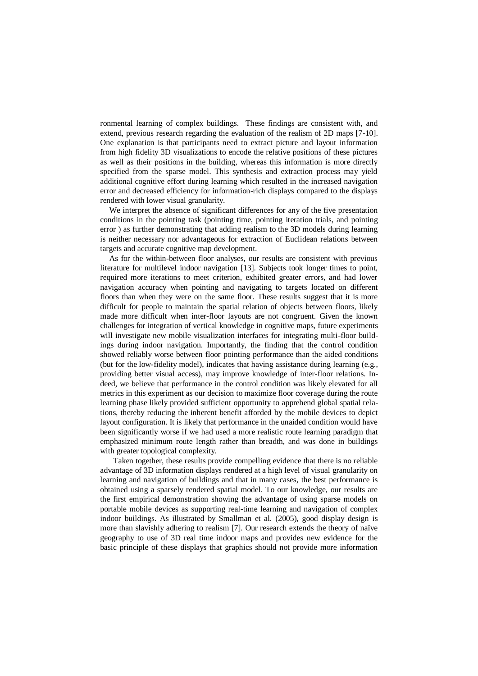ronmental learning of complex buildings. These findings are consistent with, and extend, previous research regarding the evaluation of the realism of 2D maps [7-10]. One explanation is that participants need to extract picture and layout information from high fidelity 3D visualizations to encode the relative positions of these pictures as well as their positions in the building, whereas this information is more directly specified from the sparse model. This synthesis and extraction process may yield additional cognitive effort during learning which resulted in the increased navigation error and decreased efficiency for information-rich displays compared to the displays rendered with lower visual granularity.

We interpret the absence of significant differences for any of the five presentation conditions in the pointing task (pointing time, pointing iteration trials, and pointing error ) as further demonstrating that adding realism to the 3D models during learning is neither necessary nor advantageous for extraction of Euclidean relations between targets and accurate cognitive map development.

As for the within-between floor analyses, our results are consistent with previous literature for multilevel indoor navigation [13]. Subjects took longer times to point, required more iterations to meet criterion, exhibited greater errors, and had lower navigation accuracy when pointing and navigating to targets located on different floors than when they were on the same floor. These results suggest that it is more difficult for people to maintain the spatial relation of objects between floors, likely made more difficult when inter-floor layouts are not congruent. Given the known challenges for integration of vertical knowledge in cognitive maps, future experiments will investigate new mobile visualization interfaces for integrating multi-floor buildings during indoor navigation. Importantly, the finding that the control condition showed reliably worse between floor pointing performance than the aided conditions (but for the low-fidelity model), indicates that having assistance during learning (e.g., providing better visual access), may improve knowledge of inter-floor relations. Indeed, we believe that performance in the control condition was likely elevated for all metrics in this experiment as our decision to maximize floor coverage during the route learning phase likely provided sufficient opportunity to apprehend global spatial relations, thereby reducing the inherent benefit afforded by the mobile devices to depict layout configuration. It is likely that performance in the unaided condition would have been significantly worse if we had used a more realistic route learning paradigm that emphasized minimum route length rather than breadth, and was done in buildings with greater topological complexity.

Taken together, these results provide compelling evidence that there is no reliable advantage of 3D information displays rendered at a high level of visual granularity on learning and navigation of buildings and that in many cases, the best performance is obtained using a sparsely rendered spatial model. To our knowledge, our results are the first empirical demonstration showing the advantage of using sparse models on portable mobile devices as supporting real-time learning and navigation of complex indoor buildings. As illustrated by Smallman et al. (2005), good display design is more than slavishly adhering to realism [7]. Our research extends the theory of na we geography to use of 3D real time indoor maps and provides new evidence for the basic principle of these displays that graphics should not provide more information